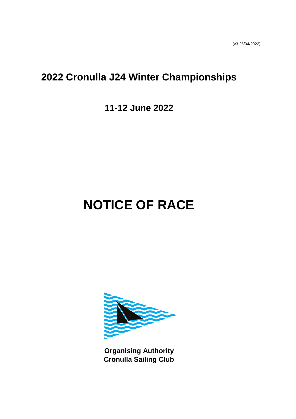# **2022 Cronulla J24 Winter Championships**

# **11-12 June 2022**

# **NOTICE OF RACE**



**Organising Authority Cronulla Sailing Club**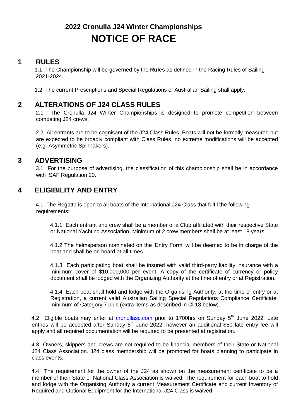# **2022 Cronulla J24 Winter Championships NOTICE OF RACE**

#### **1 RULES**

 1.1 The Championship will be governed by the **Rules** as defined in the Racing Rules of Sailing 2021-2024.

1.2 The current Prescriptions and Special Regulations of Australian Sailing shall apply.

#### **2 ALTERATIONS OF J24 CLASS RULES**

2.1 The Cronulla J24 Winter Championships is designed to promote competition between competing J24 crews.

2.2 All entrants are to be cognisant of the J24 Class Rules. Boats will not be formally measured but are expected to be broadly compliant with Class Rules, no extreme modifications will be accepted (e.g. Asymmetric Spinnakers).

## **3 ADVERTISING**

3.1 For the purpose of advertising, the classification of this championship shall be in accordance with ISAF Regulation 20.

# **4 ELIGIBILITY AND ENTRY**

4.1 The Regatta is open to all boats of the International J24 Class that fulfil the following requirements:

4.1.1 Each entrant and crew shall be a member of a Club affiliated with their respective State or National Yachting Association. Minimum of 2 crew members shall be at least 18 years.

4.1.2 The helmsperson nominated on the 'Entry Form' will be deemed to be in charge of the boat and shall be on board at all times.

4.1.3 Each participating boat shall be insured with valid third-party liability insurance with a minimum cover of \$10,000,000 per event. A copy of the certificate of currency or policy document shall be lodged with the Organizing Authority at the time of entry or at Registration.

4.1.4 Each boat shall hold and lodge with the Organising Authority, at the time of entry or at Registration, a current valid Australian Sailing Special Regulations Compliance Certificate, minimum of Category 7 plus (extra items as described in Cl.18 below).

4.2 Eligible boats may enter at **[cronullasc.com](http://www.cronullasc.com/)** prior to 1700hrs on Sunday 5<sup>th</sup> June 2022. Late entries will be accepted after Sunday  $5<sup>th</sup>$  June 2022, however an additional \$50 late entry fee will apply and all required documentation will be required to be presented at registration.

4.3 Owners, skippers and crews are not required to be financial members of their State or National J24 Class Association. J24 class membership will be promoted for boats planning to participate in class events.

4.4 The requirement for the owner of the J24 as shown on the measurement certificate to be a member of their State or National Class Association is waived. The requirement for each boat to hold and lodge with the Organising Authority a current Measurement Certificate and current Inventory of Required and Optional Equipment for the International J24 Class is waived.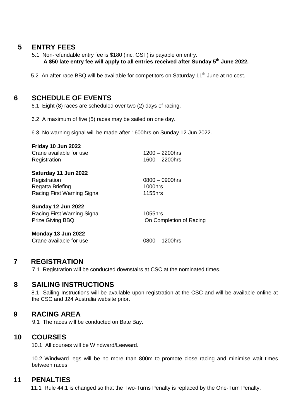# **5 ENTRY FEES**

- 5.1 Non-refundable entry fee is \$180 (inc. GST) is payable on entry. **A \$50 late entry fee will apply to all entries received after Sunday 5th June 2022.**
- 5.2 An after-race BBQ will be available for competitors on Saturday 11<sup>th</sup> June at no cost.

## **6 SCHEDULE OF EVENTS**

6.1 Eight (8) races are scheduled over two (2) days of racing.

6.2 A maximum of five (5) races may be sailed on one day.

6.3 No warning signal will be made after 1600hrs on Sunday 12 Jun 2022.

| Friday 10 Jun 2022<br>Crane available for use<br>Registration | $1200 - 2200$ hrs<br>$1600 - 2200$ hrs |
|---------------------------------------------------------------|----------------------------------------|
| Saturday 11 Jun 2022                                          |                                        |
| Registration                                                  | $0800 - 0900$ hrs                      |
| Regatta Briefing                                              | 1000hrs                                |
| Racing First Warning Signal                                   | 1155hrs                                |
| Sunday 12 Jun 2022                                            |                                        |
| Racing First Warning Signal                                   | 1055hrs                                |
| <b>Prize Giving BBQ</b>                                       | On Completion of Racing                |
| Monday 13 Jun 2022                                            |                                        |

# Crane available for use 0800 – 1200hrs

#### **7 REGISTRATION**

7.1 Registration will be conducted downstairs at CSC at the nominated times.

#### **8 SAILING INSTRUCTIONS**

8.1 Sailing Instructions will be available upon registration at the CSC and will be available online at the CSC and J24 Australia website prior.

#### **9 RACING AREA**

9.1 The races will be conducted on Bate Bay.

#### **10 COURSES**

10.1 All courses will be Windward/Leeward.

10.2 Windward legs will be no more than 800m to promote close racing and minimise wait times between races

#### **11 PENALTIES**

11.1 Rule 44.1 is changed so that the Two-Turns Penalty is replaced by the One-Turn Penalty.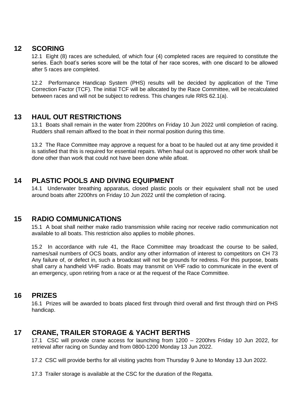#### **12 SCORING**

12.1 Eight (8) races are scheduled, of which four (4) completed races are required to constitute the series. Each boat's series score will be the total of her race scores, with one discard to be allowed after 5 races are completed.

12.2 Performance Handicap System (PHS) results will be decided by application of the Time Correction Factor (TCF). The initial TCF will be allocated by the Race Committee, will be recalculated between races and will not be subject to redress. This changes rule RRS 62.1(a).

# **13 HAUL OUT RESTRICTIONS**

13.1 Boats shall remain in the water from 2200hrs on Friday 10 Jun 2022 until completion of racing. Rudders shall remain affixed to the boat in their normal position during this time.

13.2 The Race Committee may approve a request for a boat to be hauled out at any time provided it is satisfied that this is required for essential repairs. When haul out is approved no other work shall be done other than work that could not have been done while afloat.

# **14 PLASTIC POOLS AND DIVING EQUIPMENT**

14.1 Underwater breathing apparatus, closed plastic pools or their equivalent shall not be used around boats after 2200hrs on Friday 10 Jun 2022 until the completion of racing.

#### **15 RADIO COMMUNICATIONS**

15.1 A boat shall neither make radio transmission while racing nor receive radio communication not available to all boats. This restriction also applies to mobile phones.

15.2 In accordance with rule 41, the Race Committee may broadcast the course to be sailed, names/sail numbers of OCS boats, and/or any other information of interest to competitors on CH 73 Any failure of, or defect in, such a broadcast will not be grounds for redress. For this purpose, boats shall carry a handheld VHF radio. Boats may transmit on VHF radio to communicate in the event of an emergency, upon retiring from a race or at the request of the Race Committee.

#### **16 PRIZES**

16.1 Prizes will be awarded to boats placed first through third overall and first through third on PHS handicap.

#### **17 CRANE, TRAILER STORAGE & YACHT BERTHS**

17.1 CSC will provide crane access for launching from 1200 – 2200hrs Friday 10 Jun 2022, for retrieval after racing on Sunday and from 0800-1200 Monday 13 Jun 2022.

17.2 CSC will provide berths for all visiting yachts from Thursday 9 June to Monday 13 Jun 2022.

17.3 Trailer storage is available at the CSC for the duration of the Regatta.